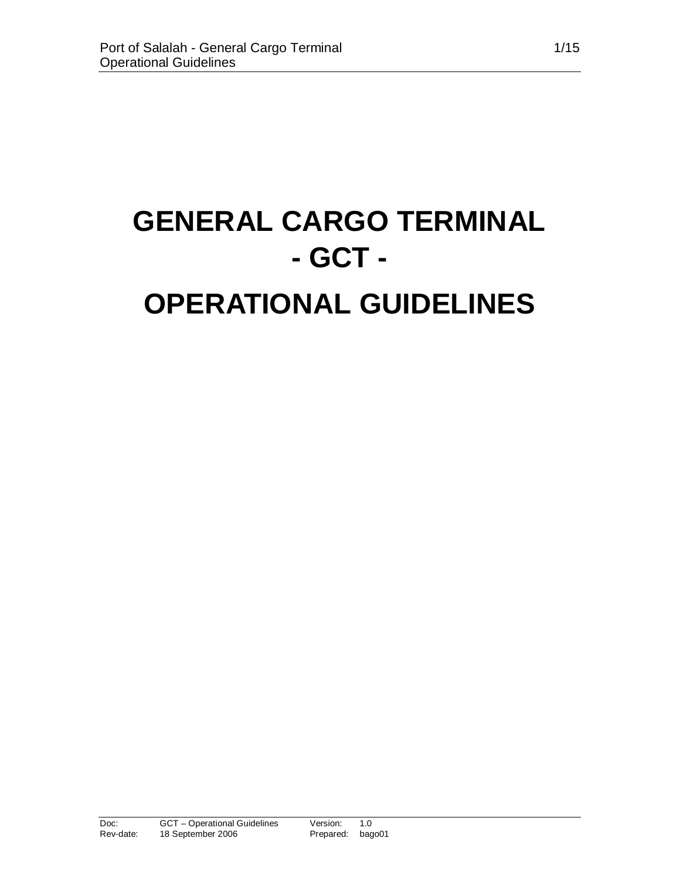# **GENERAL CARGO TERMINAL - GCT - OPERATIONAL GUIDELINES**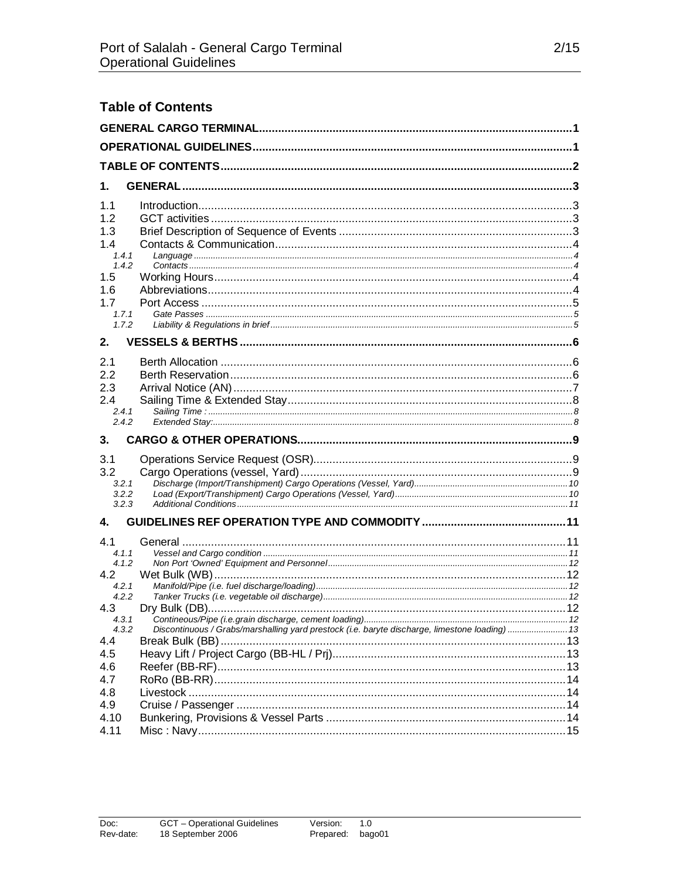| <b>Table of Contents</b> |                                                                                                |  |  |  |
|--------------------------|------------------------------------------------------------------------------------------------|--|--|--|
|                          |                                                                                                |  |  |  |
|                          |                                                                                                |  |  |  |
|                          |                                                                                                |  |  |  |
| 1.                       |                                                                                                |  |  |  |
| 1.1                      |                                                                                                |  |  |  |
| 1.2<br>1.3               |                                                                                                |  |  |  |
| 1.4                      |                                                                                                |  |  |  |
| 1.4.1<br>1.4.2           |                                                                                                |  |  |  |
| 1.5                      |                                                                                                |  |  |  |
| 1.6<br>1.7               |                                                                                                |  |  |  |
| 1.7.1<br>1.7.2           |                                                                                                |  |  |  |
|                          |                                                                                                |  |  |  |
| 2.                       |                                                                                                |  |  |  |
| 2.1<br>2.2               |                                                                                                |  |  |  |
| 2.3                      |                                                                                                |  |  |  |
| 2.4<br>2.4.1             |                                                                                                |  |  |  |
| 2.4.2                    |                                                                                                |  |  |  |
| 3.                       |                                                                                                |  |  |  |
| 3.1                      |                                                                                                |  |  |  |
| 3.2<br>3.2.1             |                                                                                                |  |  |  |
| 3.2.2<br>3.2.3           |                                                                                                |  |  |  |
| 4.                       |                                                                                                |  |  |  |
| 4.1                      |                                                                                                |  |  |  |
| 4.1.1                    |                                                                                                |  |  |  |
| 4.1.2<br>4.2             |                                                                                                |  |  |  |
| 4.2.1                    |                                                                                                |  |  |  |
| 4.2.2<br>4.3             |                                                                                                |  |  |  |
| 4.3.1<br>4.3.2           | Discontinuous / Grabs/marshalling yard prestock (i.e. baryte discharge, limestone loading)  13 |  |  |  |
| 4.4                      |                                                                                                |  |  |  |
| 4.5<br>4.6               |                                                                                                |  |  |  |
| 4.7                      |                                                                                                |  |  |  |
| 4.8                      |                                                                                                |  |  |  |
| 4.9<br>4.10              |                                                                                                |  |  |  |
| 4.11                     |                                                                                                |  |  |  |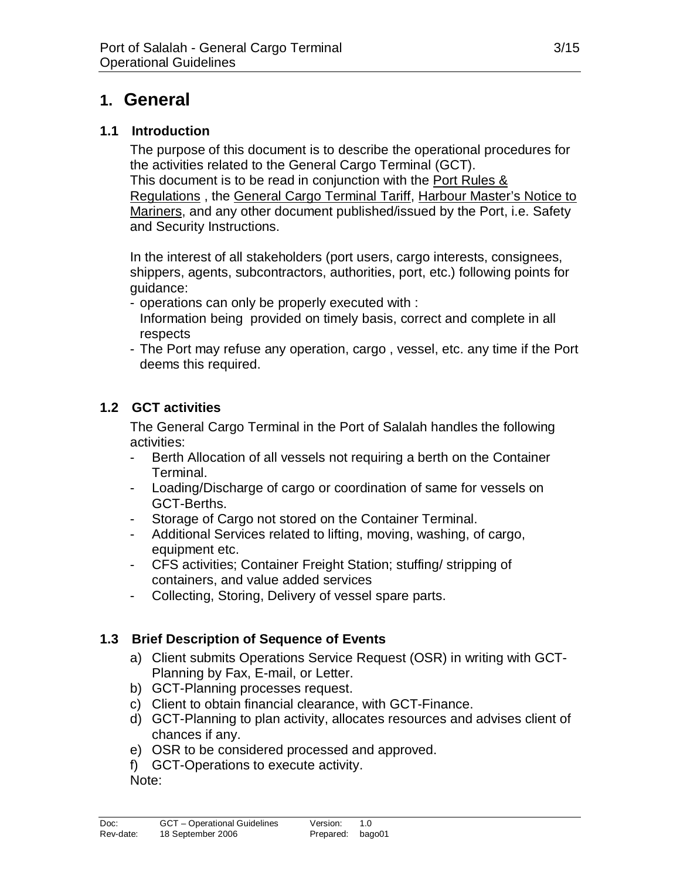# **1. General**

#### **1.1 Introduction**

The purpose of this document is to describe the operational procedures for the activities related to the General Cargo Terminal (GCT). This document is to be read in conjunction with the Port Rules & Regulations , the General Cargo Terminal Tariff, Harbour Master's Notice to Mariners, and any other document published/issued by the Port, i.e. Safety and Security Instructions.

In the interest of all stakeholders (port users, cargo interests, consignees, shippers, agents, subcontractors, authorities, port, etc.) following points for guidance:

- operations can only be properly executed with :
- Information being provided on timely basis, correct and complete in all respects
- The Port may refuse any operation, cargo , vessel, etc. any time if the Port deems this required.

# **1.2 GCT activities**

The General Cargo Terminal in the Port of Salalah handles the following activities:

- Berth Allocation of all vessels not requiring a berth on the Container Terminal.
- Loading/Discharge of cargo or coordination of same for vessels on GCT-Berths.
- Storage of Cargo not stored on the Container Terminal.
- Additional Services related to lifting, moving, washing, of cargo, equipment etc.
- CFS activities; Container Freight Station; stuffing/ stripping of containers, and value added services
- Collecting, Storing, Delivery of vessel spare parts.

# **1.3 Brief Description of Sequence of Events**

- a) Client submits Operations Service Request (OSR) in writing with GCT-Planning by Fax, E-mail, or Letter.
- b) GCT-Planning processes request.
- c) Client to obtain financial clearance, with GCT-Finance.
- d) GCT-Planning to plan activity, allocates resources and advises client of chances if any.
- e) OSR to be considered processed and approved.
- f) GCT-Operations to execute activity.

Note: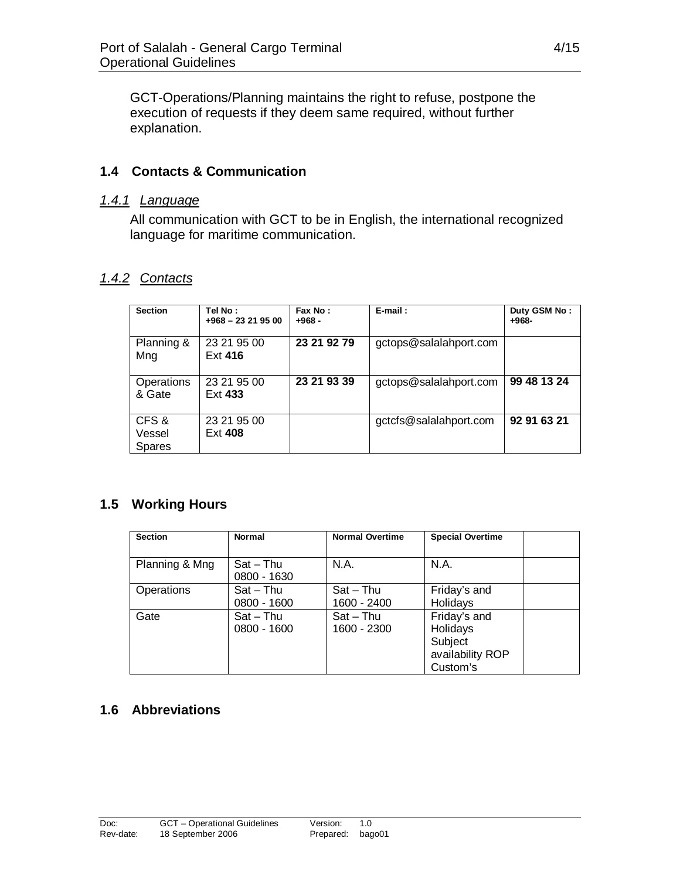GCT-Operations/Planning maintains the right to refuse, postpone the execution of requests if they deem same required, without further explanation.

#### **1.4 Contacts & Communication**

#### *1.4.1 Language*

All communication with GCT to be in English, the international recognized language for maritime communication.

# *1.4.2 Contacts*

| <b>Section</b>                   | Tel No:<br>$+968 - 23219500$ | Fax No:<br>$+968-$ | $E$ -mail:             | Duty GSM No:<br>$+968-$ |
|----------------------------------|------------------------------|--------------------|------------------------|-------------------------|
| Planning &<br>Mng                | 23 21 95 00<br>Ext 416       | 23 21 92 79        | gctops@salalahport.com |                         |
| Operations<br>& Gate             | 23 21 95 00<br>Ext 433       | 23 21 93 39        | gctops@salalahport.com | 99 48 13 24             |
| CFS &<br>Vessel<br><b>Spares</b> | 23 21 95 00<br>Ext 408       |                    | gctcfs@salalahport.com | 92 91 63 21             |

#### **1.5 Working Hours**

| <b>Section</b> | <b>Normal</b>              | <b>Normal Overtime</b>     | <b>Special Overtime</b>                                             |
|----------------|----------------------------|----------------------------|---------------------------------------------------------------------|
| Planning & Mng | $Sat - Thu$<br>0800 - 1630 | N.A.                       | N.A.                                                                |
| Operations     | $Sat - Thu$<br>0800 - 1600 | $Sat - Thu$<br>1600 - 2400 | Friday's and<br>Holidays                                            |
| Gate           | $Sat - Thu$<br>0800 - 1600 | $Sat - Thu$<br>1600 - 2300 | Friday's and<br>Holidays<br>Subject<br>availability ROP<br>Custom's |

# **1.6 Abbreviations**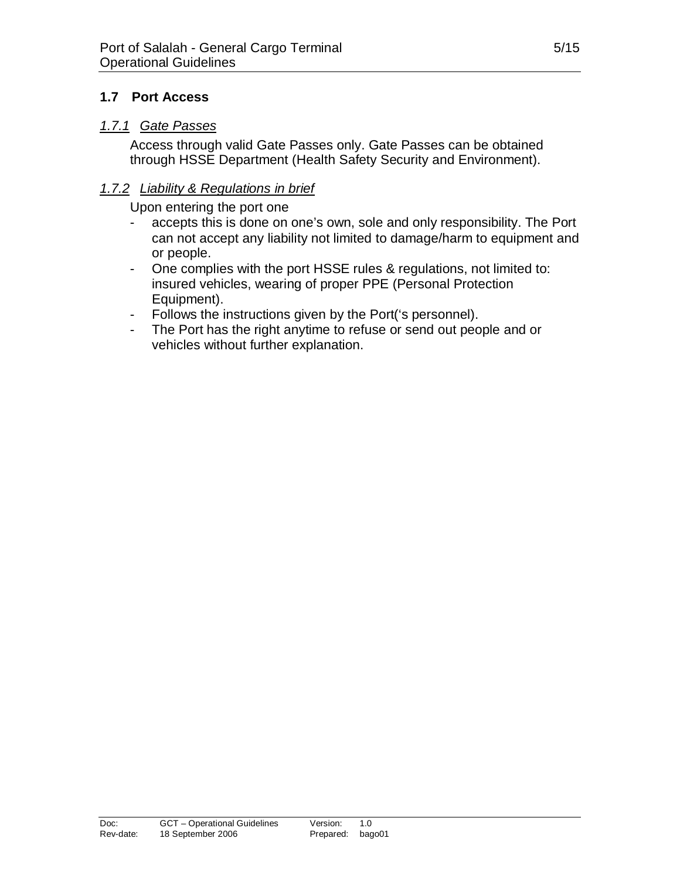#### **1.7 Port Access**

#### *1.7.1 Gate Passes*

Access through valid Gate Passes only. Gate Passes can be obtained through HSSE Department (Health Safety Security and Environment).

#### *1.7.2 Liability & Regulations in brief*

Upon entering the port one

- accepts this is done on one's own, sole and only responsibility. The Port can not accept any liability not limited to damage/harm to equipment and or people.
- One complies with the port HSSE rules & regulations, not limited to: insured vehicles, wearing of proper PPE (Personal Protection Equipment).
- Follows the instructions given by the Port('s personnel).
- The Port has the right anytime to refuse or send out people and or vehicles without further explanation.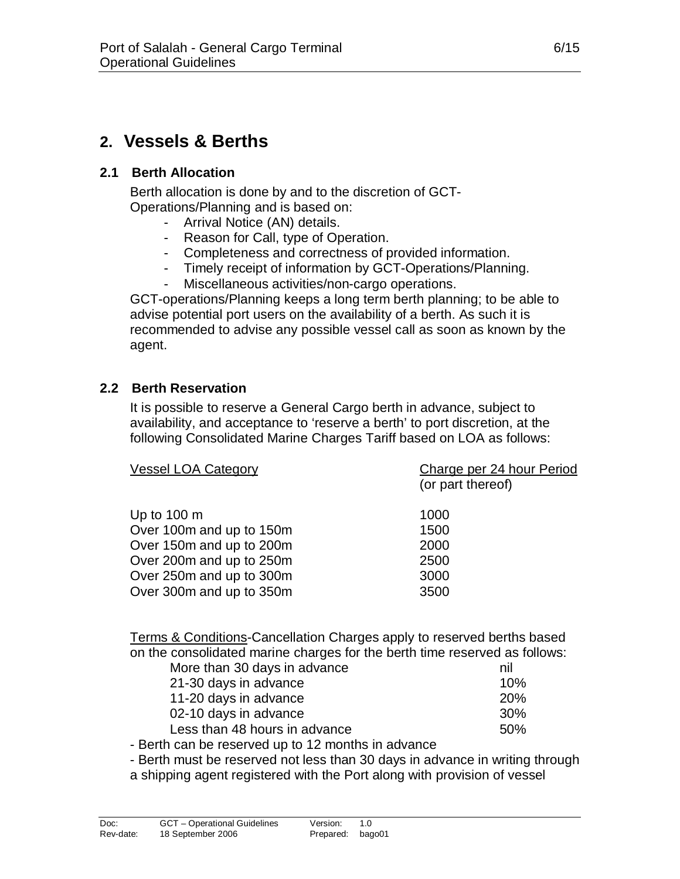# **2. Vessels & Berths**

#### **2.1 Berth Allocation**

Berth allocation is done by and to the discretion of GCT-Operations/Planning and is based on:

- Arrival Notice (AN) details.
- Reason for Call, type of Operation.
- Completeness and correctness of provided information.
- Timely receipt of information by GCT-Operations/Planning.
- Miscellaneous activities/non-cargo operations.

GCT-operations/Planning keeps a long term berth planning; to be able to advise potential port users on the availability of a berth. As such it is recommended to advise any possible vessel call as soon as known by the agent.

#### **2.2 Berth Reservation**

It is possible to reserve a General Cargo berth in advance, subject to availability, and acceptance to 'reserve a berth' to port discretion, at the following Consolidated Marine Charges Tariff based on LOA as follows:

| <b>Vessel LOA Category</b> | Charge per 24 hour Period<br>(or part thereof) |
|----------------------------|------------------------------------------------|
| Up to $100 \text{ m}$      | 1000                                           |
| Over 100m and up to 150m   | 1500                                           |
| Over 150m and up to 200m   | 2000                                           |
| Over 200m and up to 250m   | 2500                                           |
| Over 250m and up to 300m   | 3000                                           |
| Over 300m and up to 350m   | 3500                                           |
|                            |                                                |

Terms & Conditions-Cancellation Charges apply to reserved berths based on the consolidated marine charges for the berth time reserved as follows:

| More than 30 days in advance  | nil        |
|-------------------------------|------------|
| 21-30 days in advance         | 10%        |
| 11-20 days in advance         | <b>20%</b> |
| 02-10 days in advance         | <b>30%</b> |
| Less than 48 hours in advance | .50%       |
|                               |            |

- Berth can be reserved up to 12 months in advance

- Berth must be reserved not less than 30 days in advance in writing through

a shipping agent registered with the Port along with provision of vessel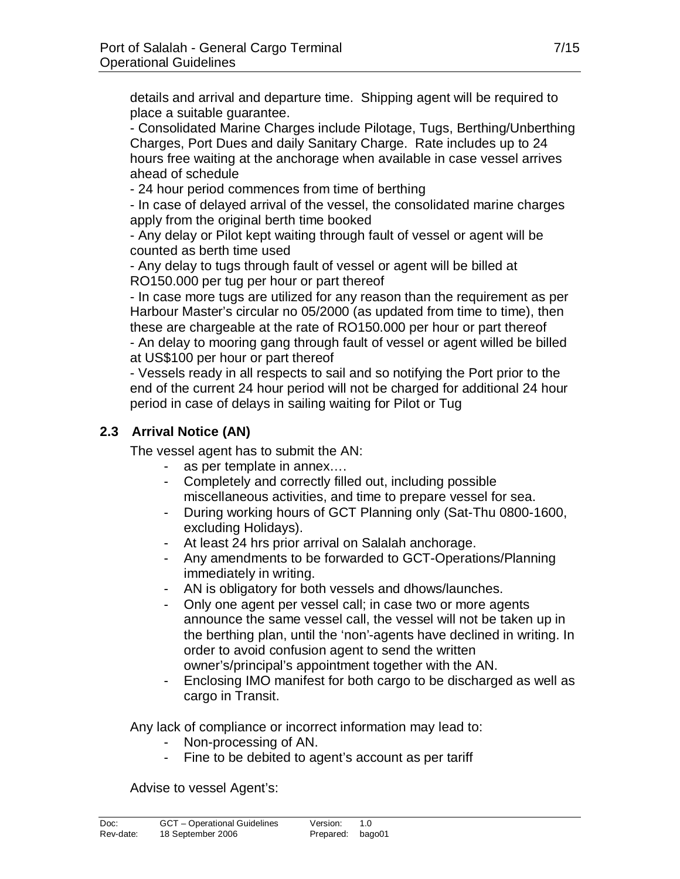details and arrival and departure time. Shipping agent will be required to place a suitable guarantee.

- Consolidated Marine Charges include Pilotage, Tugs, Berthing/Unberthing Charges, Port Dues and daily Sanitary Charge. Rate includes up to 24 hours free waiting at the anchorage when available in case vessel arrives ahead of schedule

- 24 hour period commences from time of berthing

- In case of delayed arrival of the vessel, the consolidated marine charges apply from the original berth time booked

- Any delay or Pilot kept waiting through fault of vessel or agent will be counted as berth time used

- Any delay to tugs through fault of vessel or agent will be billed at RO150.000 per tug per hour or part thereof

- In case more tugs are utilized for any reason than the requirement as per Harbour Master's circular no 05/2000 (as updated from time to time), then these are chargeable at the rate of RO150.000 per hour or part thereof

- An delay to mooring gang through fault of vessel or agent willed be billed at US\$100 per hour or part thereof

- Vessels ready in all respects to sail and so notifying the Port prior to the end of the current 24 hour period will not be charged for additional 24 hour period in case of delays in sailing waiting for Pilot or Tug

# **2.3 Arrival Notice (AN)**

The vessel agent has to submit the AN:

- as per template in annex….
- Completely and correctly filled out, including possible miscellaneous activities, and time to prepare vessel for sea.
- During working hours of GCT Planning only (Sat-Thu 0800-1600, excluding Holidays).
- At least 24 hrs prior arrival on Salalah anchorage.
- Any amendments to be forwarded to GCT-Operations/Planning immediately in writing.
- AN is obligatory for both vessels and dhows/launches.
- Only one agent per vessel call; in case two or more agents announce the same vessel call, the vessel will not be taken up in the berthing plan, until the 'non'-agents have declined in writing. In order to avoid confusion agent to send the written owner's/principal's appointment together with the AN.
- Enclosing IMO manifest for both cargo to be discharged as well as cargo in Transit.

Any lack of compliance or incorrect information may lead to:

- Non-processing of AN.
- Fine to be debited to agent's account as per tariff

Advise to vessel Agent's: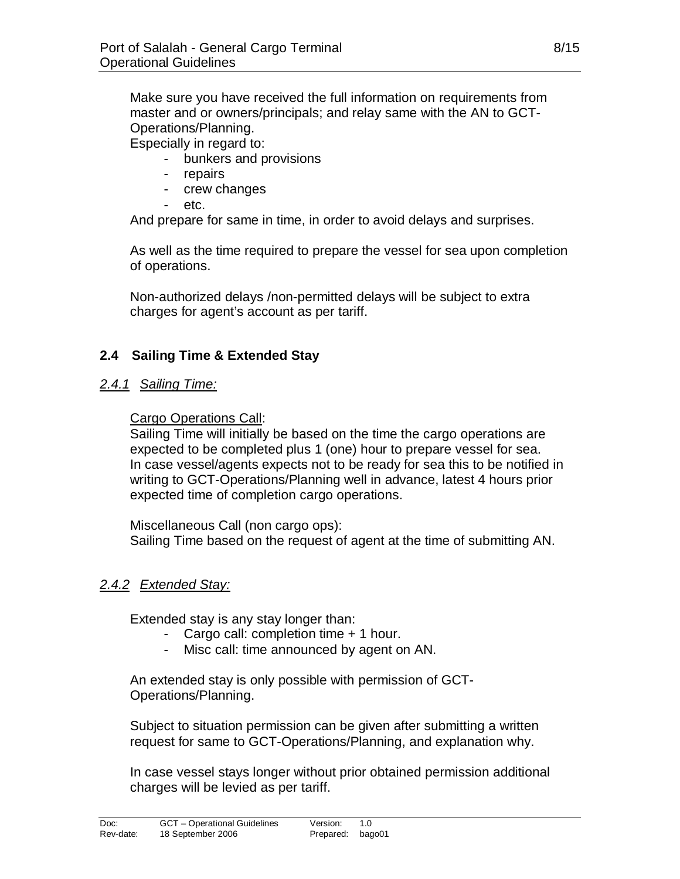Make sure you have received the full information on requirements from master and or owners/principals; and relay same with the AN to GCT-Operations/Planning.

Especially in regard to:

- bunkers and provisions
- repairs
- crew changes
- etc.

And prepare for same in time, in order to avoid delays and surprises.

As well as the time required to prepare the vessel for sea upon completion of operations.

Non-authorized delays /non-permitted delays will be subject to extra charges for agent's account as per tariff.

#### **2.4 Sailing Time & Extended Stay**

#### *2.4.1 Sailing Time:*

#### Cargo Operations Call:

Sailing Time will initially be based on the time the cargo operations are expected to be completed plus 1 (one) hour to prepare vessel for sea. In case vessel/agents expects not to be ready for sea this to be notified in writing to GCT-Operations/Planning well in advance, latest 4 hours prior expected time of completion cargo operations.

Miscellaneous Call (non cargo ops): Sailing Time based on the request of agent at the time of submitting AN.

#### *2.4.2 Extended Stay:*

Extended stay is any stay longer than:

- Cargo call: completion time + 1 hour.
- Misc call: time announced by agent on AN.

An extended stay is only possible with permission of GCT-Operations/Planning.

Subject to situation permission can be given after submitting a written request for same to GCT-Operations/Planning, and explanation why.

In case vessel stays longer without prior obtained permission additional charges will be levied as per tariff.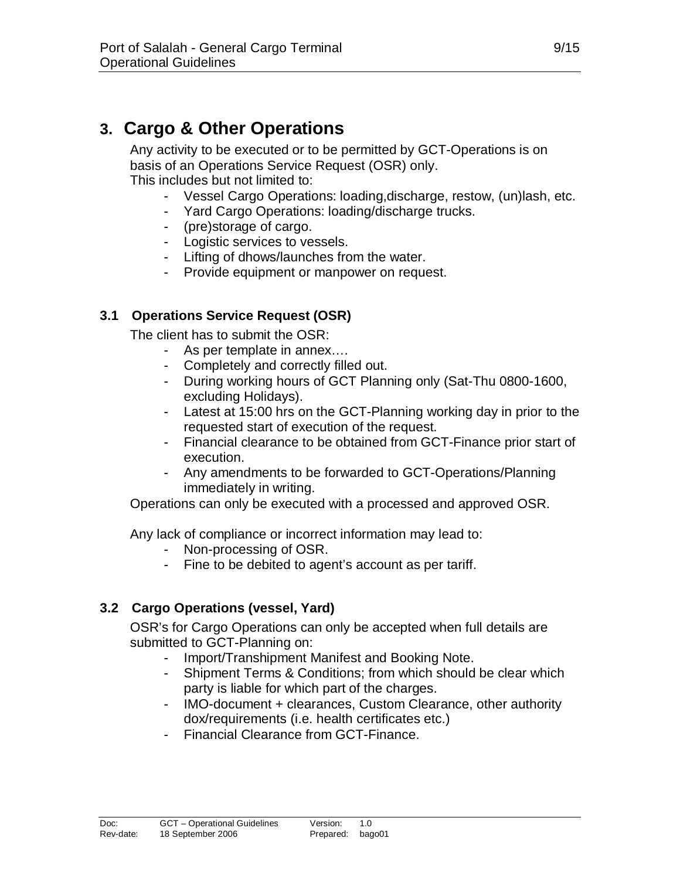# **3. Cargo & Other Operations**

Any activity to be executed or to be permitted by GCT-Operations is on basis of an Operations Service Request (OSR) only. This includes but not limited to:

- Vessel Cargo Operations: loading,discharge, restow, (un)lash, etc.
- Yard Cargo Operations: loading/discharge trucks.
- (pre)storage of cargo.
- Logistic services to vessels.
- Lifting of dhows/launches from the water.
- Provide equipment or manpower on request.

#### **3.1 Operations Service Request (OSR)**

The client has to submit the OSR:

- As per template in annex….
- Completely and correctly filled out.
- During working hours of GCT Planning only (Sat-Thu 0800-1600, excluding Holidays).
- Latest at 15:00 hrs on the GCT-Planning working day in prior to the requested start of execution of the request.
- Financial clearance to be obtained from GCT-Finance prior start of execution.
- Any amendments to be forwarded to GCT-Operations/Planning immediately in writing.

Operations can only be executed with a processed and approved OSR.

Any lack of compliance or incorrect information may lead to:

- Non-processing of OSR.
- Fine to be debited to agent's account as per tariff.

#### **3.2 Cargo Operations (vessel, Yard)**

OSR's for Cargo Operations can only be accepted when full details are submitted to GCT-Planning on:

- Import/Transhipment Manifest and Booking Note.
- Shipment Terms & Conditions; from which should be clear which party is liable for which part of the charges.
- IMO-document + clearances, Custom Clearance, other authority dox/requirements (i.e. health certificates etc.)
- Financial Clearance from GCT-Finance.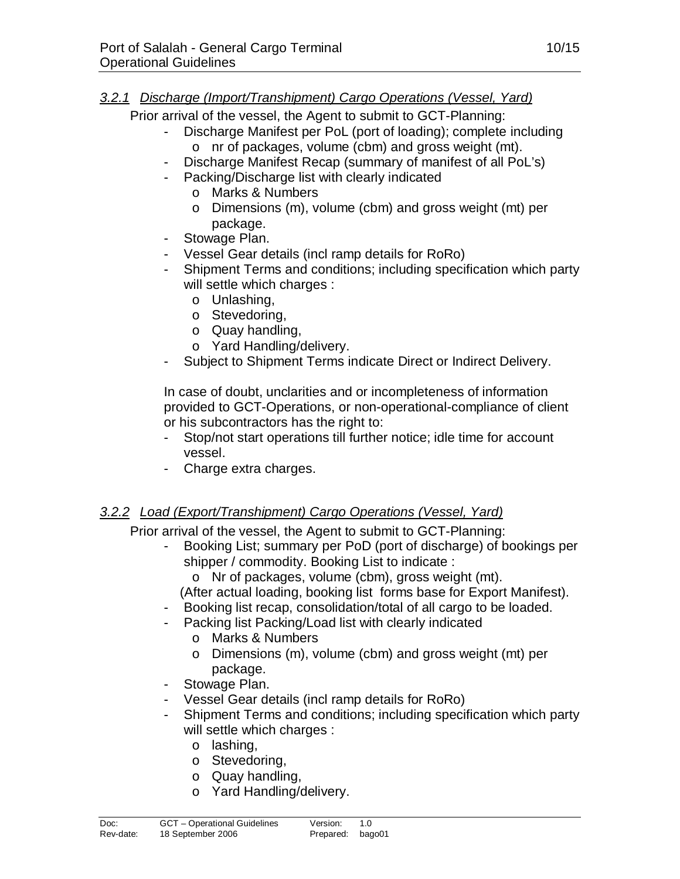#### *3.2.1 Discharge (Import/Transhipment) Cargo Operations (Vessel, Yard)*

Prior arrival of the vessel, the Agent to submit to GCT-Planning:

- Discharge Manifest per PoL (port of loading); complete including o nr of packages, volume (cbm) and gross weight (mt).
	- Discharge Manifest Recap (summary of manifest of all PoL's)
- Packing/Discharge list with clearly indicated
	- o Marks & Numbers
	- o Dimensions (m), volume (cbm) and gross weight (mt) per package.
- Stowage Plan.
- Vessel Gear details (incl ramp details for RoRo)
- Shipment Terms and conditions; including specification which party will settle which charges :
	- o Unlashing,
	- o Stevedoring,
	- o Quay handling,
	- o Yard Handling/delivery.
- Subject to Shipment Terms indicate Direct or Indirect Delivery.

In case of doubt, unclarities and or incompleteness of information provided to GCT-Operations, or non-operational-compliance of client or his subcontractors has the right to:

- Stop/not start operations till further notice; idle time for account vessel.
- Charge extra charges.

# *3.2.2 Load (Export/Transhipment) Cargo Operations (Vessel, Yard)*

Prior arrival of the vessel, the Agent to submit to GCT-Planning:

- Booking List; summary per PoD (port of discharge) of bookings per shipper / commodity. Booking List to indicate :
	- o Nr of packages, volume (cbm), gross weight (mt).
	- (After actual loading, booking list forms base for Export Manifest).
- Booking list recap, consolidation/total of all cargo to be loaded.
- Packing list Packing/Load list with clearly indicated
	- o Marks & Numbers
	- o Dimensions (m), volume (cbm) and gross weight (mt) per package.
- Stowage Plan.
- Vessel Gear details (incl ramp details for RoRo)
- Shipment Terms and conditions; including specification which party will settle which charges :
	- o lashing,
	- o Stevedoring,
	- o Quay handling,
	- o Yard Handling/delivery.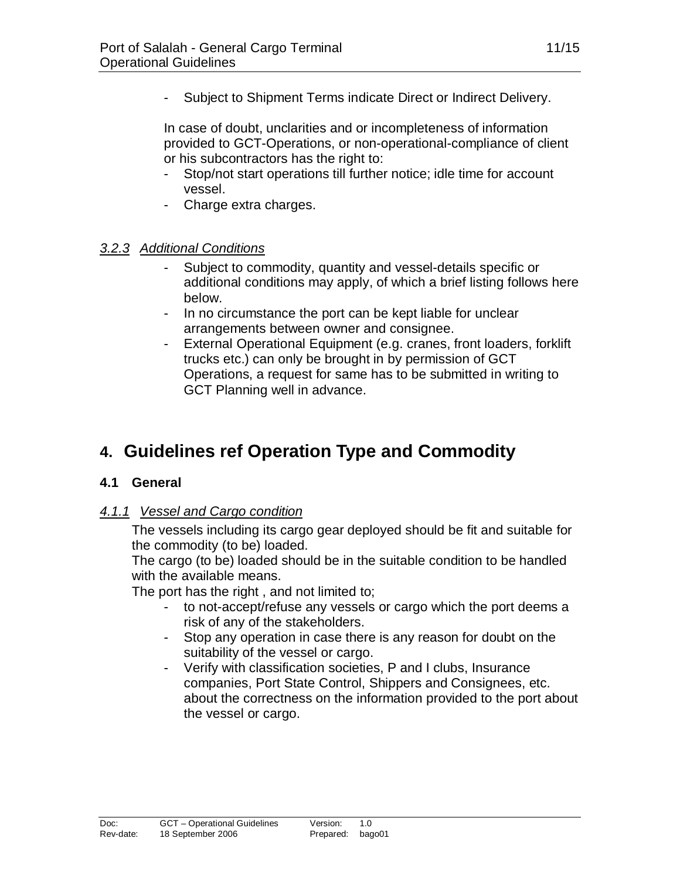Subject to Shipment Terms indicate Direct or Indirect Delivery.

In case of doubt, unclarities and or incompleteness of information provided to GCT-Operations, or non-operational-compliance of client or his subcontractors has the right to:

- Stop/not start operations till further notice; idle time for account vessel.
- Charge extra charges.

#### *3.2.3 Additional Conditions*

- Subject to commodity, quantity and vessel-details specific or additional conditions may apply, of which a brief listing follows here below.
- In no circumstance the port can be kept liable for unclear arrangements between owner and consignee.
- External Operational Equipment (e.g. cranes, front loaders, forklift trucks etc.) can only be brought in by permission of GCT Operations, a request for same has to be submitted in writing to GCT Planning well in advance.

# **4. Guidelines ref Operation Type and Commodity**

#### **4.1 General**

#### *4.1.1 Vessel and Cargo condition*

The vessels including its cargo gear deployed should be fit and suitable for the commodity (to be) loaded.

The cargo (to be) loaded should be in the suitable condition to be handled with the available means.

The port has the right , and not limited to;

- to not-accept/refuse any vessels or cargo which the port deems a risk of any of the stakeholders.
- Stop any operation in case there is any reason for doubt on the suitability of the vessel or cargo.
- Verify with classification societies, P and I clubs, Insurance companies, Port State Control, Shippers and Consignees, etc. about the correctness on the information provided to the port about the vessel or cargo.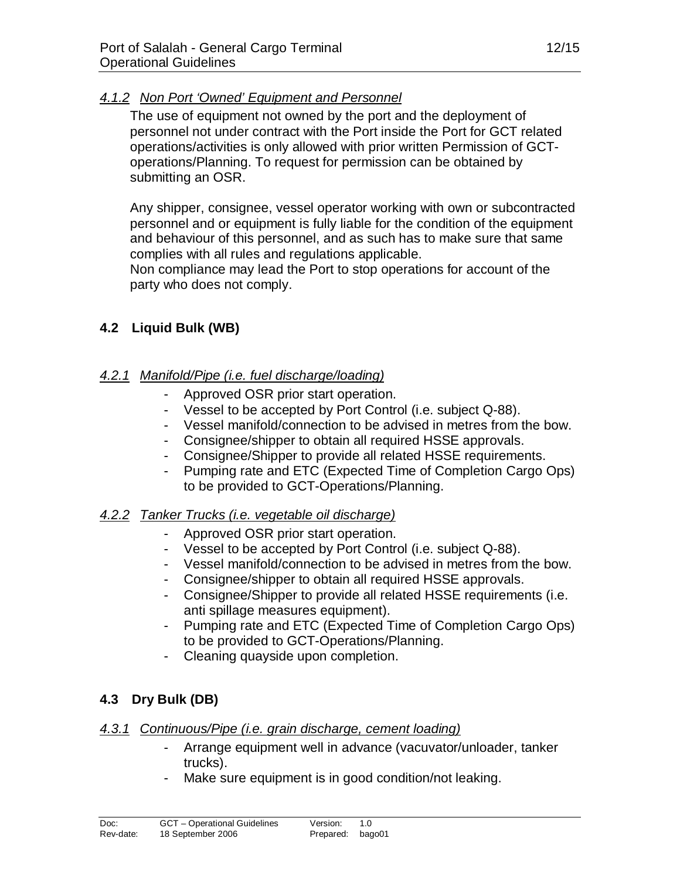#### *4.1.2 Non Port 'Owned' Equipment and Personnel*

The use of equipment not owned by the port and the deployment of personnel not under contract with the Port inside the Port for GCT related operations/activities is only allowed with prior written Permission of GCToperations/Planning. To request for permission can be obtained by submitting an OSR.

Any shipper, consignee, vessel operator working with own or subcontracted personnel and or equipment is fully liable for the condition of the equipment and behaviour of this personnel, and as such has to make sure that same complies with all rules and regulations applicable.

Non compliance may lead the Port to stop operations for account of the party who does not comply.

#### **4.2 Liquid Bulk (WB)**

#### *4.2.1 Manifold/Pipe (i.e. fuel discharge/loading)*

- Approved OSR prior start operation.
- Vessel to be accepted by Port Control (i.e. subject Q-88).
- Vessel manifold/connection to be advised in metres from the bow.
- Consignee/shipper to obtain all required HSSE approvals.
- Consignee/Shipper to provide all related HSSE requirements.
- Pumping rate and ETC (Expected Time of Completion Cargo Ops) to be provided to GCT-Operations/Planning.

#### *4.2.2 Tanker Trucks (i.e. vegetable oil discharge)*

- Approved OSR prior start operation.
- Vessel to be accepted by Port Control (i.e. subject Q-88).
- Vessel manifold/connection to be advised in metres from the bow.
- Consignee/shipper to obtain all required HSSE approvals.
- Consignee/Shipper to provide all related HSSE requirements (i.e. anti spillage measures equipment).
- Pumping rate and ETC (Expected Time of Completion Cargo Ops) to be provided to GCT-Operations/Planning.
- Cleaning quayside upon completion.

# **4.3 Dry Bulk (DB)**

#### *4.3.1 Continuous/Pipe (i.e. grain discharge, cement loading)*

- Arrange equipment well in advance (vacuvator/unloader, tanker trucks).
- Make sure equipment is in good condition/not leaking.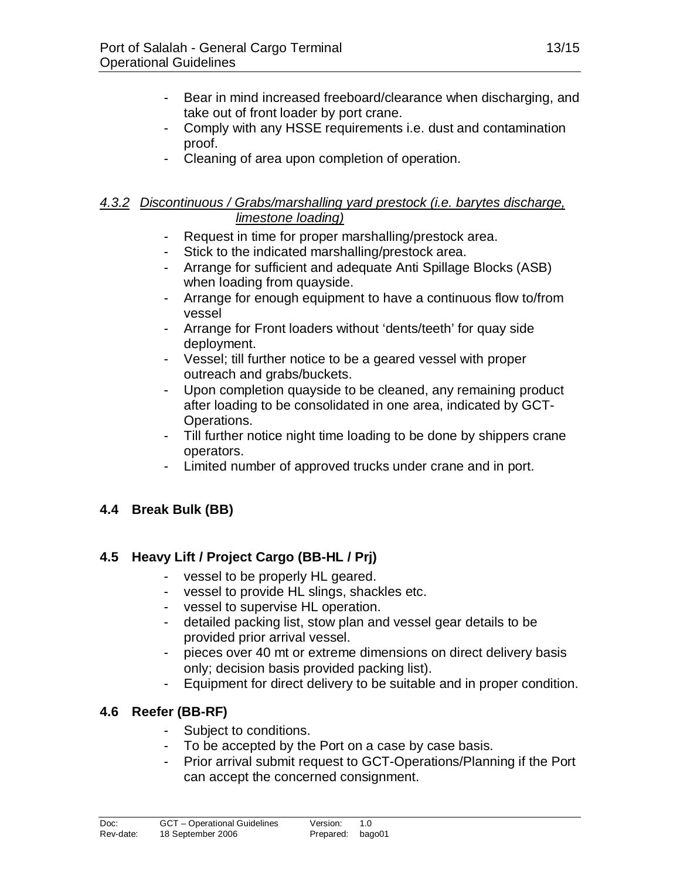- Bear in mind increased freeboard/clearance when discharging, and take out of front loader by port crane.
- Comply with any HSSE requirements i.e. dust and contamination proof.
- Cleaning of area upon completion of operation.

#### *4.3.2 Discontinuous / Grabs/marshalling yard prestock (i.e. barytes discharge, limestone loading)*

- Request in time for proper marshalling/prestock area.
- Stick to the indicated marshalling/prestock area.
- Arrange for sufficient and adequate Anti Spillage Blocks (ASB) when loading from quayside.
- Arrange for enough equipment to have a continuous flow to/from vessel
- Arrange for Front loaders without 'dents/teeth' for quay side deployment.
- Vessel; till further notice to be a geared vessel with proper outreach and grabs/buckets.
- Upon completion quayside to be cleaned, any remaining product after loading to be consolidated in one area, indicated by GCT-Operations.
- Till further notice night time loading to be done by shippers crane operators.
- Limited number of approved trucks under crane and in port.

# **4.4 Break Bulk (BB)**

# **4.5 Heavy Lift / Project Cargo (BB-HL / Prj)**

- vessel to be properly HL geared.
- vessel to provide HL slings, shackles etc.
- vessel to supervise HL operation.
- detailed packing list, stow plan and vessel gear details to be provided prior arrival vessel.
- pieces over 40 mt or extreme dimensions on direct delivery basis only; decision basis provided packing list).
- Equipment for direct delivery to be suitable and in proper condition.

# **4.6 Reefer (BB-RF)**

- Subject to conditions.
- To be accepted by the Port on a case by case basis.
- Prior arrival submit request to GCT-Operations/Planning if the Port can accept the concerned consignment.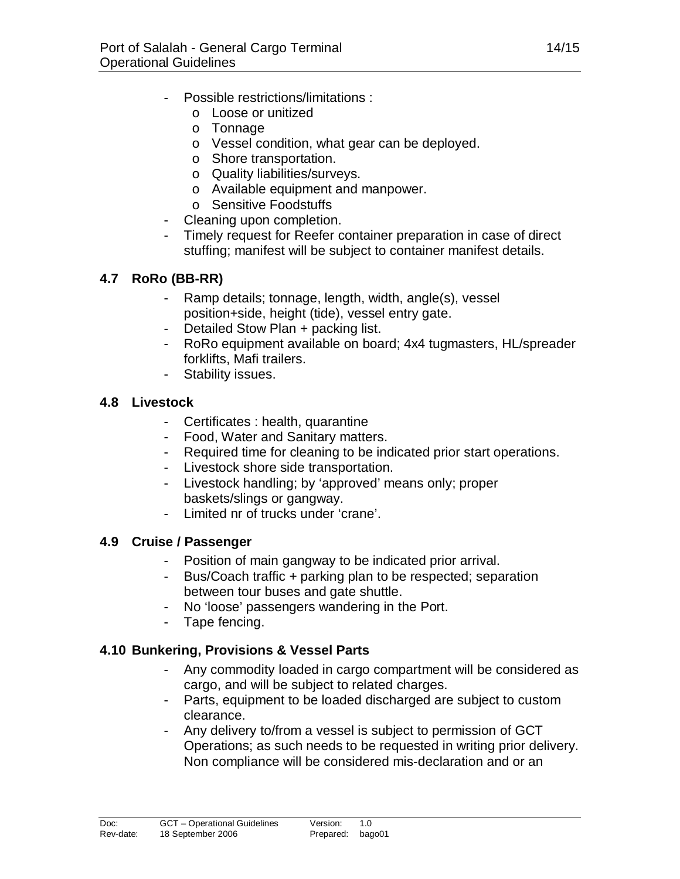- Possible restrictions/limitations :
	- o Loose or unitized
	- o Tonnage
	- o Vessel condition, what gear can be deployed.
	- o Shore transportation.
	- o Quality liabilities/surveys.
	- o Available equipment and manpower.
	- o Sensitive Foodstuffs
- Cleaning upon completion.
- Timely request for Reefer container preparation in case of direct stuffing; manifest will be subject to container manifest details.

# **4.7 RoRo (BB-RR)**

- Ramp details; tonnage, length, width, angle(s), vessel position+side, height (tide), vessel entry gate.
- Detailed Stow Plan + packing list.
- RoRo equipment available on board; 4x4 tugmasters, HL/spreader forklifts, Mafi trailers.
- Stability issues.

# **4.8 Livestock**

- Certificates : health, quarantine
- Food, Water and Sanitary matters.
- Required time for cleaning to be indicated prior start operations.
- Livestock shore side transportation.
- Livestock handling; by 'approved' means only; proper baskets/slings or gangway.
- Limited nr of trucks under 'crane'.

# **4.9 Cruise / Passenger**

- Position of main gangway to be indicated prior arrival.
- Bus/Coach traffic + parking plan to be respected; separation between tour buses and gate shuttle.
- No 'loose' passengers wandering in the Port.
- Tape fencing.

# **4.10 Bunkering, Provisions & Vessel Parts**

- Any commodity loaded in cargo compartment will be considered as cargo, and will be subject to related charges.
- Parts, equipment to be loaded discharged are subject to custom clearance.
- Any delivery to/from a vessel is subject to permission of GCT Operations; as such needs to be requested in writing prior delivery. Non compliance will be considered mis-declaration and or an